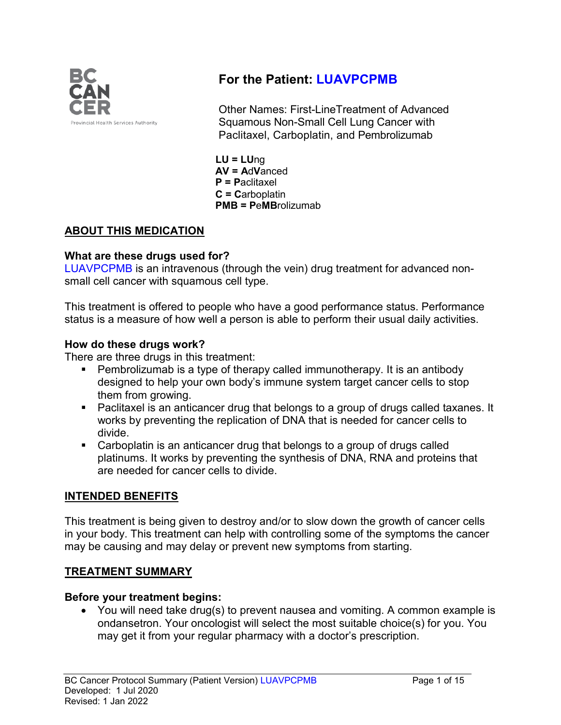

# **For the Patient: LUAVPCPMB**

Other Names: First-LineTreatment of Advanced Squamous Non-Small Cell Lung Cancer with Paclitaxel, Carboplatin, and Pembrolizumab

**LU = LU**ng **AV = A**d**V**anced **P = P**aclitaxel **C = C**arboplatin **PMB = P**e**MB**rolizumab

## **ABOUT THIS MEDICATION**

### **What are these drugs used for?**

LUAVPCPMB is an intravenous (through the vein) drug treatment for advanced nonsmall cell cancer with squamous cell type.

This treatment is offered to people who have a good performance status. Performance status is a measure of how well a person is able to perform their usual daily activities.

### **How do these drugs work?**

There are three drugs in this treatment:

- Pembrolizumab is a type of therapy called immunotherapy. It is an antibody designed to help your own body's immune system target cancer cells to stop them from growing.
- Paclitaxel is an anticancer drug that belongs to a group of drugs called taxanes. It works by preventing the replication of DNA that is needed for cancer cells to divide.
- Carboplatin is an anticancer drug that belongs to a group of drugs called platinums. It works by preventing the synthesis of DNA, RNA and proteins that are needed for cancer cells to divide.

## **INTENDED BENEFITS**

This treatment is being given to destroy and/or to slow down the growth of cancer cells in your body. This treatment can help with controlling some of the symptoms the cancer may be causing and may delay or prevent new symptoms from starting.

### **TREATMENT SUMMARY**

### **Before your treatment begins:**

• You will need take drug(s) to prevent nausea and vomiting. A common example is ondansetron. Your oncologist will select the most suitable choice(s) for you. You may get it from your regular pharmacy with a doctor's prescription.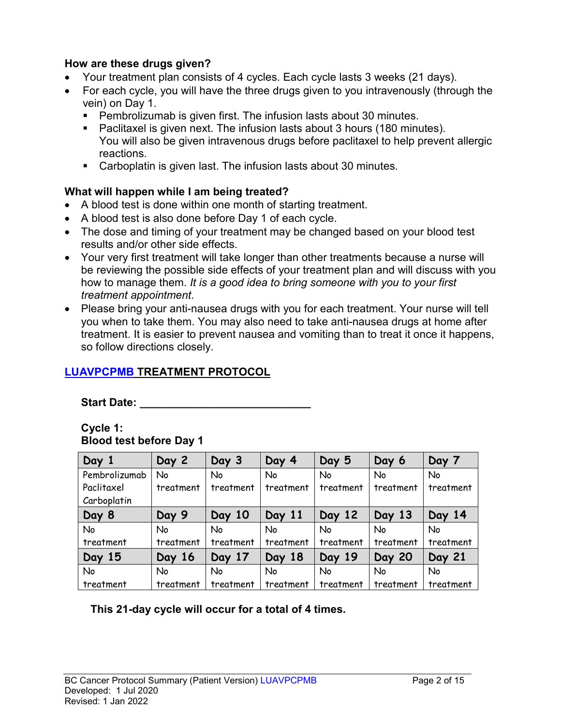### **How are these drugs given?**

- Your treatment plan consists of 4 cycles. Each cycle lasts 3 weeks (21 days).
- For each cycle, you will have the three drugs given to you intravenously (through the vein) on Day 1.
	- Pembrolizumab is given first. The infusion lasts about 30 minutes.
	- Paclitaxel is given next. The infusion lasts about 3 hours (180 minutes). You will also be given intravenous drugs before paclitaxel to help prevent allergic reactions.
	- Carboplatin is given last. The infusion lasts about 30 minutes.

## **What will happen while I am being treated?**

- A blood test is done within one month of starting treatment.
- A blood test is also done before Day 1 of each cycle.
- The dose and timing of your treatment may be changed based on your blood test results and/or other side effects.
- Your very first treatment will take longer than other treatments because a nurse will be reviewing the possible side effects of your treatment plan and will discuss with you how to manage them. *It is a good idea to bring someone with you to your first treatment appointment*.
- Please bring your anti-nausea drugs with you for each treatment. Your nurse will tell you when to take them. You may also need to take anti-nausea drugs at home after treatment. It is easier to prevent nausea and vomiting than to treat it once it happens, so follow directions closely.

## **LUAVPCPMB TREATMENT PROTOCOL**

**Start Date: \_\_\_\_\_\_\_\_\_\_\_\_\_\_\_\_\_\_\_\_\_\_\_\_\_\_\_\_**

#### **Cycle 1: Blood test before Day 1**

| Day 1         | Day 2     | Day 3     | Day 4     | Day 5     | Day 6         | Day 7     |
|---------------|-----------|-----------|-----------|-----------|---------------|-----------|
| Pembrolizumab | No        | <b>No</b> | No        | No        | <b>No</b>     | No        |
| Paclitaxel    | treatment | treatment | treatment | treatment | treatment     | treatment |
| Carboplatin   |           |           |           |           |               |           |
| Day 8         | Day 9     | Day 10    | Day 11    | Day 12    | Day 13        | Day 14    |
| <b>No</b>     | No        | <b>No</b> | No        | <b>No</b> | <b>No</b>     | <b>No</b> |
| treatment     | treatment | treatment | treatment | treatment | treatment     | treatment |
| Day 15        | Day 16    | Day 17    | Day 18    | Day 19    | <b>Day 20</b> | Day 21    |
| <b>No</b>     | No        | No        | No        | <b>No</b> | <b>No</b>     | No        |
| treatment     | treatment | treatment | treatment | treatment | treatment     | treatment |

## **This 21-day cycle will occur for a total of 4 times.**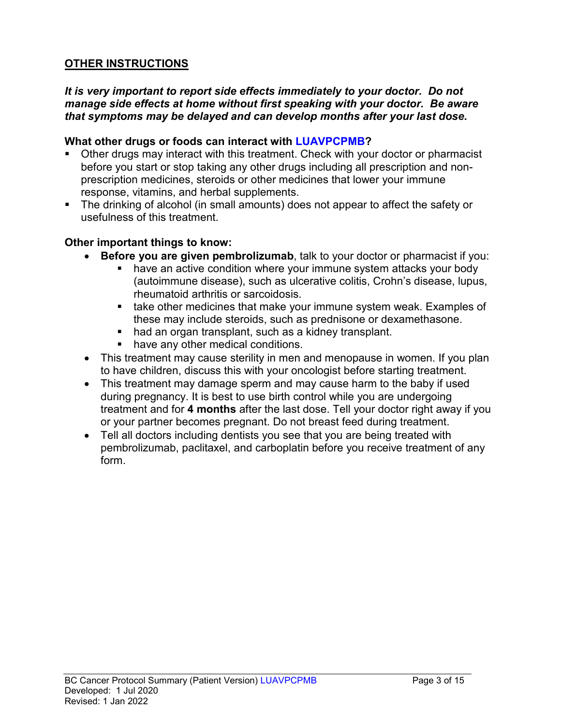## **OTHER INSTRUCTIONS**

#### *It is very important to report side effects immediately to your doctor. Do not manage side effects at home without first speaking with your doctor. Be aware that symptoms may be delayed and can develop months after your last dose.*

#### **What other drugs or foods can interact with LUAVPCPMB?**

- Other drugs may interact with this treatment. Check with your doctor or pharmacist before you start or stop taking any other drugs including all prescription and nonprescription medicines, steroids or other medicines that lower your immune response, vitamins, and herbal supplements.
- The drinking of alcohol (in small amounts) does not appear to affect the safety or usefulness of this treatment.

### **Other important things to know:**

- **Before you are given pembrolizumab**, talk to your doctor or pharmacist if you:
	- have an active condition where your immune system attacks your body (autoimmune disease), such as ulcerative colitis, Crohn's disease, lupus, rheumatoid arthritis or sarcoidosis.
	- **take other medicines that make your immune system weak. Examples of** these may include steroids, such as prednisone or dexamethasone.
	- had an organ transplant, such as a kidney transplant.
	- **have any other medical conditions.**
- This treatment may cause sterility in men and menopause in women. If you plan to have children, discuss this with your oncologist before starting treatment.
- This treatment may damage sperm and may cause harm to the baby if used during pregnancy. It is best to use birth control while you are undergoing treatment and for **4 months** after the last dose. Tell your doctor right away if you or your partner becomes pregnant. Do not breast feed during treatment.
- Tell all doctors including dentists you see that you are being treated with pembrolizumab, paclitaxel, and carboplatin before you receive treatment of any form.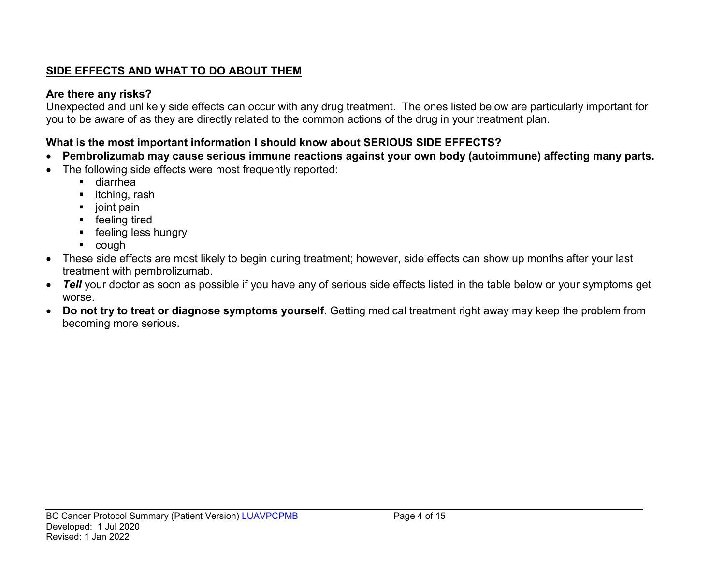## **SIDE EFFECTS AND WHAT TO DO ABOUT THEM**

## **Are there any risks?**

Unexpected and unlikely side effects can occur with any drug treatment. The ones listed below are particularly important for you to be aware of as they are directly related to the common actions of the drug in your treatment plan.

## **What is the most important information I should know about SERIOUS SIDE EFFECTS?**

- **Pembrolizumab may cause serious immune reactions against your own body (autoimmune) affecting many parts.**
- The following side effects were most frequently reported:
	- diarrhea
	- $\blacksquare$  itching, rash
	- $\blacksquare$  joint pain
	- **F** feeling tired
	- **feeling less hungry**
	- cough
- These side effects are most likely to begin during treatment; however, side effects can show up months after your last treatment with pembrolizumab.
- *Tell* your doctor as soon as possible if you have any of serious side effects listed in the table below or your symptoms get worse.
- **Do not try to treat or diagnose symptoms yourself**. Getting medical treatment right away may keep the problem from becoming more serious.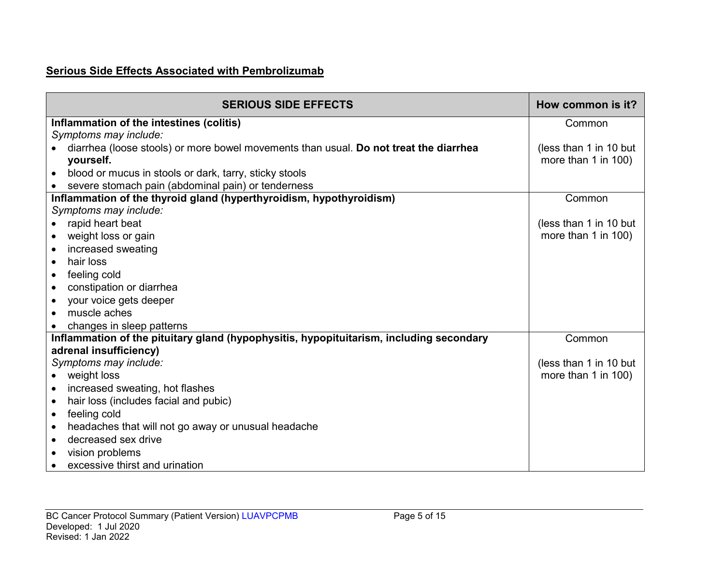## **Serious Side Effects Associated with Pembrolizumab**

| <b>SERIOUS SIDE EFFECTS</b>                                                             | How common is it?      |
|-----------------------------------------------------------------------------------------|------------------------|
| Inflammation of the intestines (colitis)                                                | Common                 |
| Symptoms may include:                                                                   |                        |
| diarrhea (loose stools) or more bowel movements than usual. Do not treat the diarrhea   | (less than 1 in 10 but |
| yourself.                                                                               | more than 1 in 100)    |
| blood or mucus in stools or dark, tarry, sticky stools                                  |                        |
| severe stomach pain (abdominal pain) or tenderness                                      |                        |
| Inflammation of the thyroid gland (hyperthyroidism, hypothyroidism)                     | Common                 |
| Symptoms may include:                                                                   |                        |
| rapid heart beat                                                                        | (less than 1 in 10 but |
| weight loss or gain                                                                     | more than 1 in 100)    |
| increased sweating<br>$\bullet$                                                         |                        |
| hair loss<br>$\bullet$                                                                  |                        |
| feeling cold<br>$\bullet$                                                               |                        |
| constipation or diarrhea                                                                |                        |
| your voice gets deeper<br>$\bullet$                                                     |                        |
| muscle aches                                                                            |                        |
| changes in sleep patterns                                                               |                        |
| Inflammation of the pituitary gland (hypophysitis, hypopituitarism, including secondary | Common                 |
| adrenal insufficiency)                                                                  |                        |
| Symptoms may include:                                                                   | (less than 1 in 10 but |
| weight loss                                                                             | more than 1 in 100)    |
| increased sweating, hot flashes<br>$\bullet$                                            |                        |
| hair loss (includes facial and pubic)<br>$\bullet$                                      |                        |
| feeling cold<br>$\bullet$                                                               |                        |
| headaches that will not go away or unusual headache<br>$\bullet$                        |                        |
| decreased sex drive<br>$\bullet$                                                        |                        |
| vision problems                                                                         |                        |
| excessive thirst and urination                                                          |                        |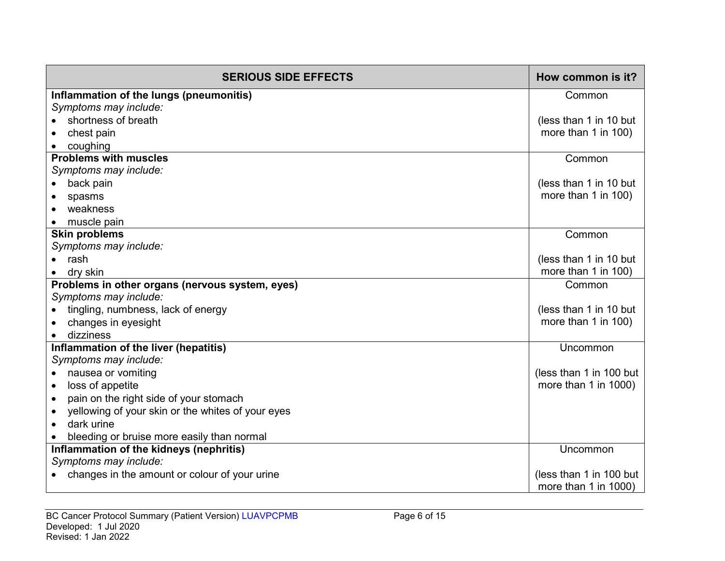| <b>SERIOUS SIDE EFFECTS</b>                                    | How common is it?         |
|----------------------------------------------------------------|---------------------------|
| Inflammation of the lungs (pneumonitis)                        | Common                    |
| Symptoms may include:                                          |                           |
| shortness of breath                                            | (less than 1 in 10 but    |
| chest pain                                                     | more than 1 in 100)       |
| coughing                                                       |                           |
| <b>Problems with muscles</b>                                   | Common                    |
| Symptoms may include:                                          |                           |
| back pain                                                      | (less than 1 in 10 but    |
| spasms                                                         | more than 1 in 100)       |
| weakness                                                       |                           |
| muscle pain                                                    |                           |
| <b>Skin problems</b>                                           | Common                    |
| Symptoms may include:                                          |                           |
| rash                                                           | (less than 1 in 10 but    |
| dry skin                                                       | more than 1 in 100)       |
| Problems in other organs (nervous system, eyes)                | Common                    |
| Symptoms may include:                                          |                           |
| tingling, numbness, lack of energy                             | (less than 1 in 10 but    |
| changes in eyesight                                            | more than 1 in 100)       |
| dizziness                                                      |                           |
| Inflammation of the liver (hepatitis)                          | Uncommon                  |
| Symptoms may include:<br>nausea or vomiting                    | (less than 1 in 100 but   |
| $\bullet$<br>loss of appetite                                  | more than 1 in 1000)      |
| $\bullet$<br>pain on the right side of your stomach            |                           |
| $\bullet$<br>yellowing of your skin or the whites of your eyes |                           |
| dark urine                                                     |                           |
| $\bullet$<br>bleeding or bruise more easily than normal        |                           |
| Inflammation of the kidneys (nephritis)                        | Uncommon                  |
| Symptoms may include:                                          |                           |
| changes in the amount or colour of your urine                  | (less than 1 in 100 but   |
|                                                                | more than $1$ in $1000$ ) |
|                                                                |                           |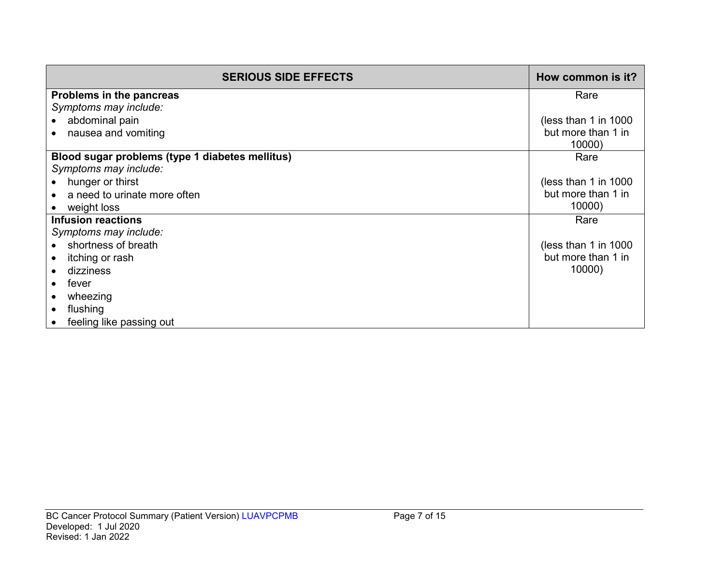| <b>SERIOUS SIDE EFFECTS</b>                     | How common is it?    |
|-------------------------------------------------|----------------------|
| Problems in the pancreas                        | Rare                 |
| Symptoms may include:                           |                      |
| abdominal pain                                  | (less than 1 in 1000 |
| nausea and vomiting                             | but more than 1 in   |
|                                                 | 10000)               |
| Blood sugar problems (type 1 diabetes mellitus) | Rare                 |
| Symptoms may include:                           |                      |
| hunger or thirst                                | (less than 1 in 1000 |
| a need to urinate more often                    | but more than 1 in   |
| weight loss                                     | 10000)               |
| <b>Infusion reactions</b>                       | Rare                 |
| Symptoms may include:                           |                      |
| shortness of breath                             | (less than 1 in 1000 |
| itching or rash                                 | but more than 1 in   |
| dizziness                                       | 10000)               |
| fever                                           |                      |
| wheezing                                        |                      |
| flushing                                        |                      |
| feeling like passing out                        |                      |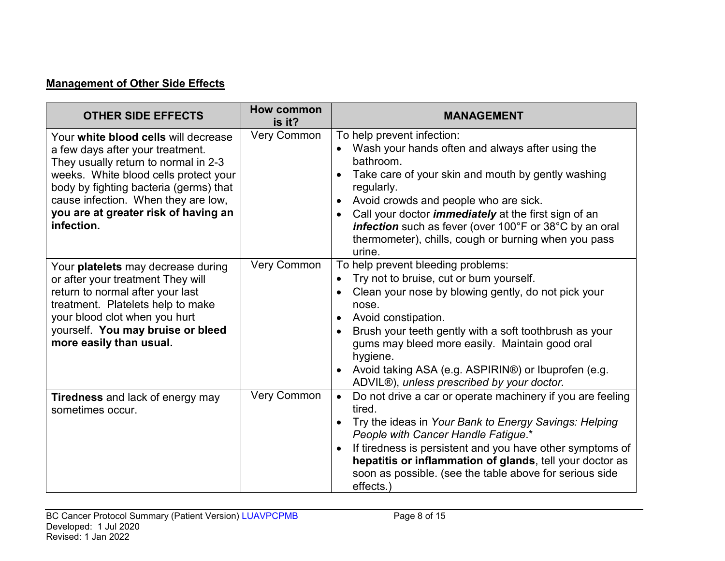## **Management of Other Side Effects**

| <b>OTHER SIDE EFFECTS</b>                                                                                                                                                                                                                                                                        | <b>How common</b><br>is it? | <b>MANAGEMENT</b>                                                                                                                                                                                                                                                                                                                                                                                                |
|--------------------------------------------------------------------------------------------------------------------------------------------------------------------------------------------------------------------------------------------------------------------------------------------------|-----------------------------|------------------------------------------------------------------------------------------------------------------------------------------------------------------------------------------------------------------------------------------------------------------------------------------------------------------------------------------------------------------------------------------------------------------|
| Your white blood cells will decrease<br>a few days after your treatment.<br>They usually return to normal in 2-3<br>weeks. White blood cells protect your<br>body by fighting bacteria (germs) that<br>cause infection. When they are low,<br>you are at greater risk of having an<br>infection. | Very Common                 | To help prevent infection:<br>Wash your hands often and always after using the<br>bathroom.<br>Take care of your skin and mouth by gently washing<br>regularly.<br>Avoid crowds and people who are sick.<br>Call your doctor <i>immediately</i> at the first sign of an<br>$\bullet$<br>infection such as fever (over 100°F or 38°C by an oral<br>thermometer), chills, cough or burning when you pass<br>urine. |
| Your platelets may decrease during<br>or after your treatment They will<br>return to normal after your last<br>treatment. Platelets help to make<br>your blood clot when you hurt<br>yourself. You may bruise or bleed<br>more easily than usual.                                                | <b>Very Common</b>          | To help prevent bleeding problems:<br>Try not to bruise, cut or burn yourself.<br>Clean your nose by blowing gently, do not pick your<br>nose.<br>Avoid constipation.<br>Brush your teeth gently with a soft toothbrush as your<br>gums may bleed more easily. Maintain good oral<br>hygiene.<br>Avoid taking ASA (e.g. ASPIRIN®) or Ibuprofen (e.g.<br>ADVIL®), unless prescribed by your doctor.               |
| <b>Tiredness</b> and lack of energy may<br>sometimes occur.                                                                                                                                                                                                                                      | <b>Very Common</b>          | Do not drive a car or operate machinery if you are feeling<br>$\bullet$<br>tired.<br>Try the ideas in Your Bank to Energy Savings: Helping<br>People with Cancer Handle Fatigue.*<br>If tiredness is persistent and you have other symptoms of<br>hepatitis or inflammation of glands, tell your doctor as<br>soon as possible. (see the table above for serious side<br>effects.)                               |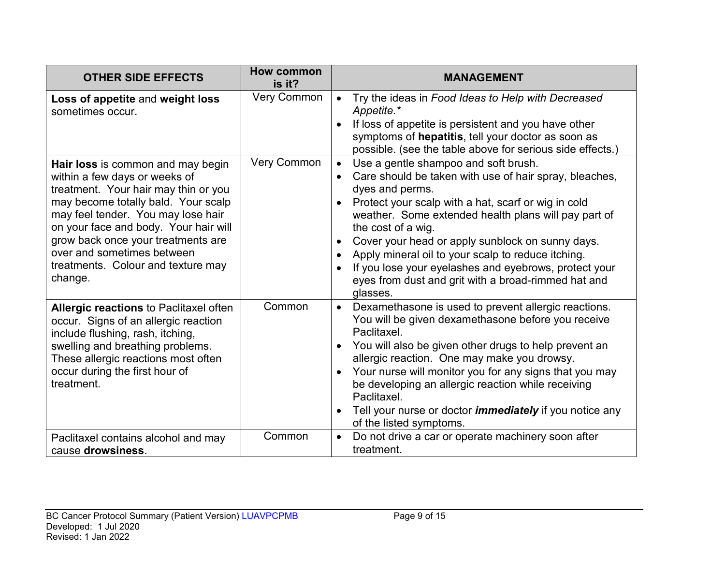| <b>OTHER SIDE EFFECTS</b>                                                                                                                                                                                                                                                                                                                             | <b>How common</b><br>is it? | <b>MANAGEMENT</b>                                                                                                                                                                                                                                                                                                                                                                                                                                                                                         |
|-------------------------------------------------------------------------------------------------------------------------------------------------------------------------------------------------------------------------------------------------------------------------------------------------------------------------------------------------------|-----------------------------|-----------------------------------------------------------------------------------------------------------------------------------------------------------------------------------------------------------------------------------------------------------------------------------------------------------------------------------------------------------------------------------------------------------------------------------------------------------------------------------------------------------|
| Loss of appetite and weight loss<br>sometimes occur.                                                                                                                                                                                                                                                                                                  | <b>Very Common</b>          | Try the ideas in Food Ideas to Help with Decreased<br>$\bullet$<br>Appetite.*<br>If loss of appetite is persistent and you have other<br>symptoms of hepatitis, tell your doctor as soon as<br>possible. (see the table above for serious side effects.)                                                                                                                                                                                                                                                  |
| Hair loss is common and may begin<br>within a few days or weeks of<br>treatment. Your hair may thin or you<br>may become totally bald. Your scalp<br>may feel tender. You may lose hair<br>on your face and body. Your hair will<br>grow back once your treatments are<br>over and sometimes between<br>treatments. Colour and texture may<br>change. | Very Common                 | Use a gentle shampoo and soft brush.<br>$\bullet$<br>Care should be taken with use of hair spray, bleaches,<br>dyes and perms.<br>Protect your scalp with a hat, scarf or wig in cold<br>weather. Some extended health plans will pay part of<br>the cost of a wig.<br>Cover your head or apply sunblock on sunny days.<br>Apply mineral oil to your scalp to reduce itching.<br>If you lose your eyelashes and eyebrows, protect your<br>eyes from dust and grit with a broad-rimmed hat and<br>glasses. |
| Allergic reactions to Paclitaxel often<br>occur. Signs of an allergic reaction<br>include flushing, rash, itching,<br>swelling and breathing problems.<br>These allergic reactions most often<br>occur during the first hour of<br>treatment.                                                                                                         | Common                      | Dexamethasone is used to prevent allergic reactions.<br>$\bullet$<br>You will be given dexamethasone before you receive<br>Paclitaxel.<br>You will also be given other drugs to help prevent an<br>allergic reaction. One may make you drowsy.<br>Your nurse will monitor you for any signs that you may<br>be developing an allergic reaction while receiving<br>Paclitaxel.<br>Tell your nurse or doctor <i>immediately</i> if you notice any<br>of the listed symptoms.                                |
| Paclitaxel contains alcohol and may<br>cause drowsiness.                                                                                                                                                                                                                                                                                              | Common                      | Do not drive a car or operate machinery soon after<br>$\bullet$<br>treatment.                                                                                                                                                                                                                                                                                                                                                                                                                             |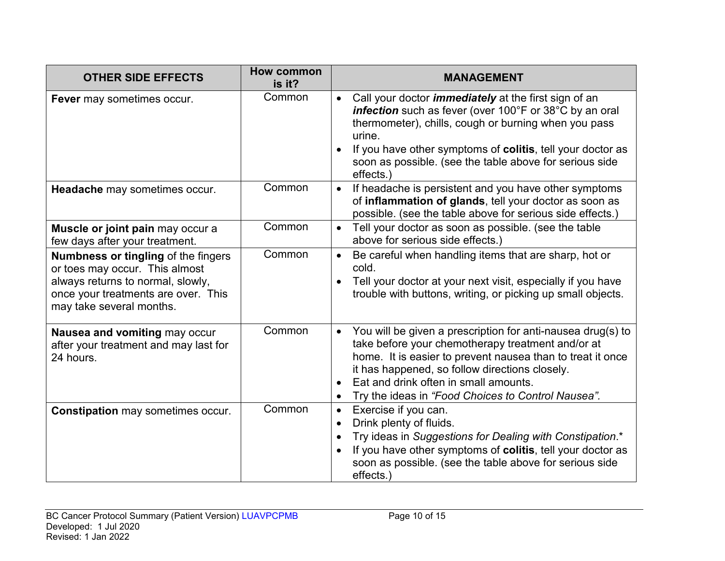| <b>OTHER SIDE EFFECTS</b>                                                                                                                                                            | <b>How common</b><br>is it? | <b>MANAGEMENT</b>                                                                                                                                                                                                                                                                                                                            |
|--------------------------------------------------------------------------------------------------------------------------------------------------------------------------------------|-----------------------------|----------------------------------------------------------------------------------------------------------------------------------------------------------------------------------------------------------------------------------------------------------------------------------------------------------------------------------------------|
| Fever may sometimes occur.                                                                                                                                                           | Common                      | Call your doctor <i>immediately</i> at the first sign of an<br>infection such as fever (over 100°F or 38°C by an oral<br>thermometer), chills, cough or burning when you pass<br>urine.<br>If you have other symptoms of colitis, tell your doctor as<br>soon as possible. (see the table above for serious side<br>effects.)                |
| Headache may sometimes occur.                                                                                                                                                        | Common                      | If headache is persistent and you have other symptoms<br>$\bullet$<br>of inflammation of glands, tell your doctor as soon as<br>possible. (see the table above for serious side effects.)                                                                                                                                                    |
| Muscle or joint pain may occur a<br>few days after your treatment.                                                                                                                   | Common                      | Tell your doctor as soon as possible. (see the table<br>$\bullet$<br>above for serious side effects.)                                                                                                                                                                                                                                        |
| <b>Numbness or tingling of the fingers</b><br>or toes may occur. This almost<br>always returns to normal, slowly,<br>once your treatments are over. This<br>may take several months. | Common                      | Be careful when handling items that are sharp, hot or<br>cold.<br>Tell your doctor at your next visit, especially if you have<br>trouble with buttons, writing, or picking up small objects.                                                                                                                                                 |
| Nausea and vomiting may occur<br>after your treatment and may last for<br>24 hours.                                                                                                  | Common                      | You will be given a prescription for anti-nausea drug(s) to<br>$\bullet$<br>take before your chemotherapy treatment and/or at<br>home. It is easier to prevent nausea than to treat it once<br>it has happened, so follow directions closely.<br>Eat and drink often in small amounts.<br>Try the ideas in "Food Choices to Control Nausea". |
| <b>Constipation may sometimes occur.</b>                                                                                                                                             | Common                      | Exercise if you can.<br>$\bullet$<br>Drink plenty of fluids.<br>Try ideas in Suggestions for Dealing with Constipation.*<br>If you have other symptoms of colitis, tell your doctor as<br>soon as possible. (see the table above for serious side<br>effects.)                                                                               |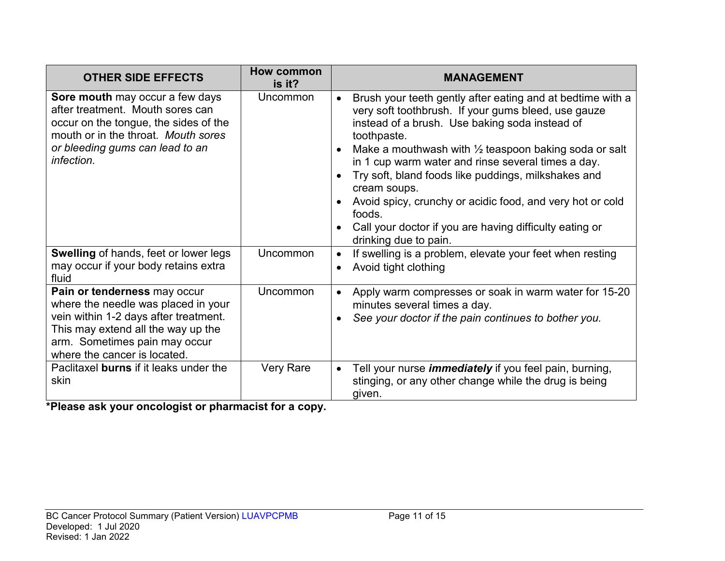| <b>OTHER SIDE EFFECTS</b>                                                                                                                                                                                           | <b>How common</b><br>is it? | <b>MANAGEMENT</b>                                                                                                                                                                                                                                                                                                                                                                                                                                                                                                                                           |
|---------------------------------------------------------------------------------------------------------------------------------------------------------------------------------------------------------------------|-----------------------------|-------------------------------------------------------------------------------------------------------------------------------------------------------------------------------------------------------------------------------------------------------------------------------------------------------------------------------------------------------------------------------------------------------------------------------------------------------------------------------------------------------------------------------------------------------------|
| <b>Sore mouth</b> may occur a few days<br>after treatment. Mouth sores can<br>occur on the tongue, the sides of the<br>mouth or in the throat. Mouth sores<br>or bleeding gums can lead to an<br>infection.         | <b>Uncommon</b>             | Brush your teeth gently after eating and at bedtime with a<br>$\bullet$<br>very soft toothbrush. If your gums bleed, use gauze<br>instead of a brush. Use baking soda instead of<br>toothpaste.<br>Make a mouthwash with $\frac{1}{2}$ teaspoon baking soda or salt<br>in 1 cup warm water and rinse several times a day.<br>Try soft, bland foods like puddings, milkshakes and<br>cream soups.<br>Avoid spicy, crunchy or acidic food, and very hot or cold<br>foods.<br>Call your doctor if you are having difficulty eating or<br>drinking due to pain. |
| <b>Swelling of hands, feet or lower legs</b><br>may occur if your body retains extra<br>fluid                                                                                                                       | <b>Uncommon</b>             | If swelling is a problem, elevate your feet when resting<br>Avoid tight clothing                                                                                                                                                                                                                                                                                                                                                                                                                                                                            |
| Pain or tenderness may occur<br>where the needle was placed in your<br>vein within 1-2 days after treatment.<br>This may extend all the way up the<br>arm. Sometimes pain may occur<br>where the cancer is located. | <b>Uncommon</b>             | Apply warm compresses or soak in warm water for 15-20<br>minutes several times a day.<br>See your doctor if the pain continues to bother you.                                                                                                                                                                                                                                                                                                                                                                                                               |
| Paclitaxel burns if it leaks under the<br>skin                                                                                                                                                                      | <b>Very Rare</b>            | Tell your nurse <i>immediately</i> if you feel pain, burning,<br>$\bullet$<br>stinging, or any other change while the drug is being<br>given.                                                                                                                                                                                                                                                                                                                                                                                                               |

**\*Please ask your oncologist or pharmacist for a copy.**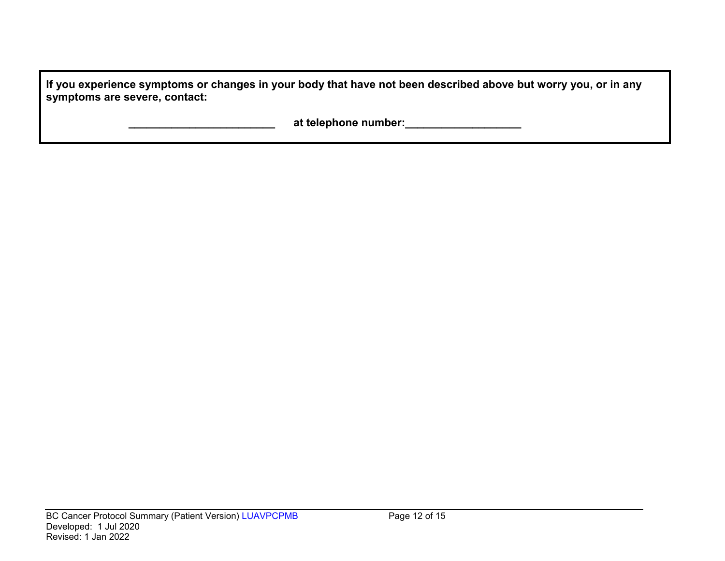**If you experience symptoms or changes in your body that have not been described above but worry you, or in any symptoms are severe, contact:**

 **\_\_\_\_\_\_\_\_\_\_\_\_\_\_\_\_\_\_\_\_\_\_\_\_ at telephone number:\_\_\_\_\_\_\_\_\_\_\_\_\_\_\_\_\_\_\_**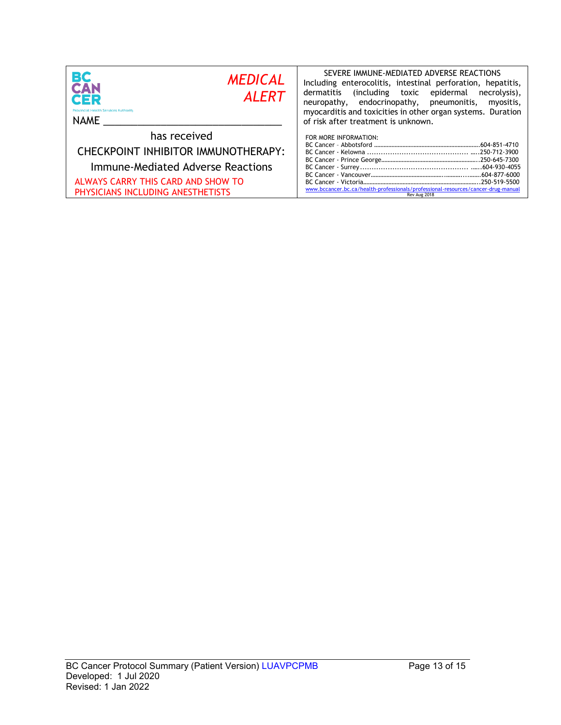| BС<br><b>MEDICAL</b><br>CAN<br><b>ALERT</b><br>CER<br><b>Provincial Health Services Authority</b><br><b>NAME</b>                                                    | SEVERE IMMUNE-MEDIATED ADVERSE REACTIONS<br>Including enterocolitis, intestinal perforation, hepatitis,<br>dermatitis<br>including toxic epidermal)<br>necrolysis),<br>neuropathy, endocrinopathy, pneumonitis,<br>myositis,<br>myocarditis and toxicities in other organ systems. Duration<br>of risk after treatment is unknown. |
|---------------------------------------------------------------------------------------------------------------------------------------------------------------------|------------------------------------------------------------------------------------------------------------------------------------------------------------------------------------------------------------------------------------------------------------------------------------------------------------------------------------|
| has received<br>CHECKPOINT INHIBITOR IMMUNOTHERAPY:<br>Immune-Mediated Adverse Reactions<br>ALWAYS CARRY THIS CARD AND SHOW TO<br>PHYSICIANS INCLUDING ANESTHETISTS | FOR MORE INFORMATION:<br>www.bccancer.bc.ca/health-professionals/professional-resources/cancer-drug-manual<br>Rev Aug 2018                                                                                                                                                                                                         |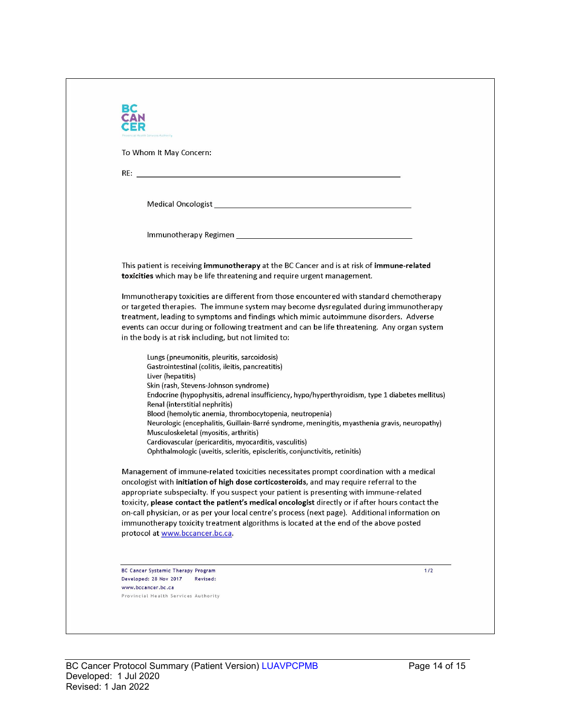| To Whom It May Concern:                                                  |                                                                                                                                                                                                                                                                                |
|--------------------------------------------------------------------------|--------------------------------------------------------------------------------------------------------------------------------------------------------------------------------------------------------------------------------------------------------------------------------|
|                                                                          |                                                                                                                                                                                                                                                                                |
|                                                                          |                                                                                                                                                                                                                                                                                |
|                                                                          | Medical Oncologist New York and Service Contract of the Contract of the Contract of the Contract of the Contract of the Contract of the Contract of the Contract of the Contract of the Contract of the Contract of the Contra                                                 |
|                                                                          |                                                                                                                                                                                                                                                                                |
|                                                                          |                                                                                                                                                                                                                                                                                |
|                                                                          | This patient is receiving immunotherapy at the BC Cancer and is at risk of immune-related<br>toxicities which may be life threatening and require urgent management.                                                                                                           |
|                                                                          | Immunotherapy toxicities are different from those encountered with standard chemotherapy                                                                                                                                                                                       |
|                                                                          | or targeted therapies. The immune system may become dysregulated during immunotherapy                                                                                                                                                                                          |
|                                                                          | treatment, leading to symptoms and findings which mimic autoimmune disorders. Adverse<br>events can occur during or following treatment and can be life threatening. Any organ system                                                                                          |
| in the body is at risk including, but not limited to:                    |                                                                                                                                                                                                                                                                                |
| Lungs (pneumonitis, pleuritis, sarcoidosis)                              |                                                                                                                                                                                                                                                                                |
| Gastrointestinal (colitis, ileitis, pancreatitis)                        |                                                                                                                                                                                                                                                                                |
| Liver (hepatitis)<br>Skin (rash, Stevens-Johnson syndrome)               |                                                                                                                                                                                                                                                                                |
|                                                                          | Endocrine (hypophysitis, adrenal insufficiency, hypo/hyperthyroidism, type 1 diabetes mellitus)                                                                                                                                                                                |
| Renal (interstitial nephritis)                                           |                                                                                                                                                                                                                                                                                |
|                                                                          | Blood (hemolytic anemia, thrombocytopenia, neutropenia)<br>Neurologic (encephalitis, Guillain-Barré syndrome, meningitis, myasthenia gravis, neuropathy)                                                                                                                       |
| Musculoskeletal (myositis, arthritis)                                    |                                                                                                                                                                                                                                                                                |
| Cardiovascular (pericarditis, myocarditis, vasculitis)                   | Ophthalmologic (uveitis, scleritis, episcleritis, conjunctivitis, retinitis)                                                                                                                                                                                                   |
|                                                                          | Management of immune-related toxicities necessitates prompt coordination with a medical<br>oncologist with initiation of high dose corticosteroids, and may require referral to the<br>appropriate subspecialty. If you suspect your patient is presenting with immune-related |
|                                                                          | toxicity, please contact the patient's medical oncologist directly or if after hours contact the                                                                                                                                                                               |
|                                                                          | on-call physician, or as per your local centre's process (next page). Additional information on<br>immunotherapy toxicity treatment algorithms is located at the end of the above posted                                                                                       |
| protocol at www.bccancer.bc.ca.                                          |                                                                                                                                                                                                                                                                                |
|                                                                          |                                                                                                                                                                                                                                                                                |
|                                                                          | 1/2                                                                                                                                                                                                                                                                            |
| BC Cancer Systemic Therapy Program<br>Developed: 28 Nov 2017<br>Revised: |                                                                                                                                                                                                                                                                                |